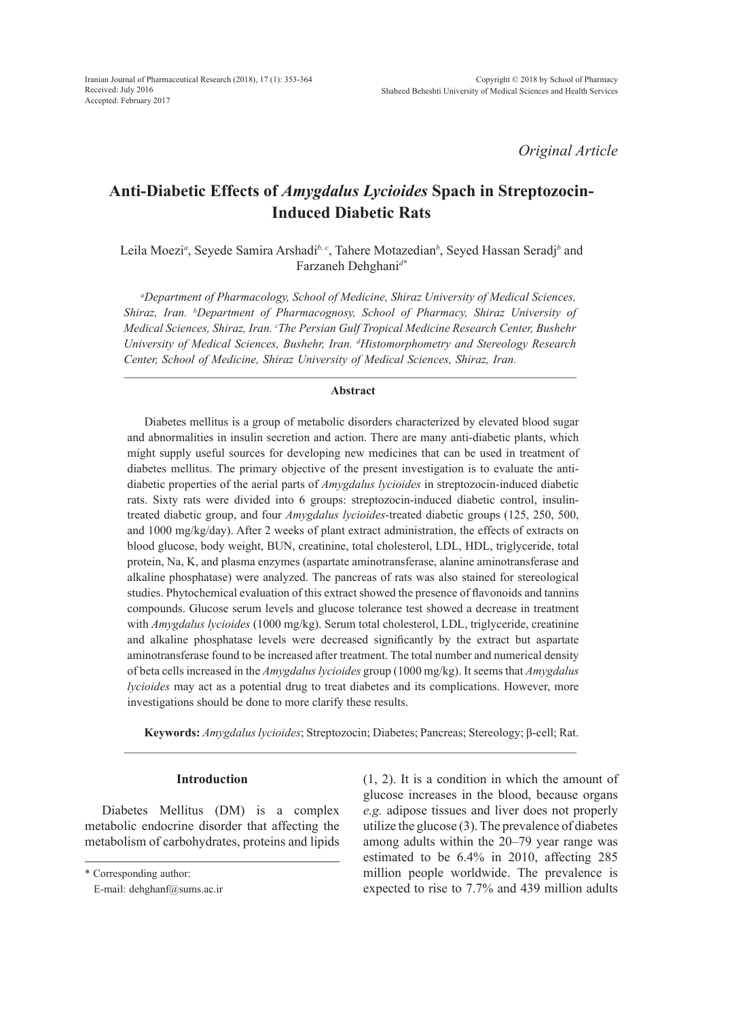*Original Article*

# **Anti-Diabetic Effects of** *Amygdalus Lycioides* **Spach in Streptozocin-Induced Diabetic Rats**

Leila Moezi<sup>a</sup>, Seyede Samira Arshadi<sup>b, c</sup>, Tahere Motazedian<sup>b</sup>, Seyed Hassan Seradj<sup>b</sup> and Farzaneh Dehghani*d\**

*a Department of Pharmacology, School of Medicine, Shiraz University of Medical Sciences, Shiraz, Iran. b Department of Pharmacognosy, School of Pharmacy, Shiraz University of Medical Sciences, Shiraz, Iran. c The Persian Gulf Tropical Medicine Research Center, Bushehr University of Medical Sciences, Bushehr, Iran. d Histomorphometry and Stereology Research Center, School of Medicine, Shiraz University of Medical Sciences, Shiraz, Iran.*

## **Abstract**

Diabetes mellitus is a group of metabolic disorders characterized by elevated blood sugar and abnormalities in insulin secretion and action. There are many anti-diabetic plants, which might supply useful sources for developing new medicines that can be used in treatment of diabetes mellitus. The primary objective of the present investigation is to evaluate the antidiabetic properties of the aerial parts of *Amygdalus lycioides* in streptozocin-induced diabetic rats. Sixty rats were divided into 6 groups: streptozocin-induced diabetic control, insulintreated diabetic group, and four *Amygdalus lycioides*-treated diabetic groups (125, 250, 500, and 1000 mg/kg/day). After 2 weeks of plant extract administration, the effects of extracts on blood glucose, body weight, BUN, creatinine, total cholesterol, LDL, HDL, triglyceride, total protein, Na, K, and plasma enzymes (aspartate aminotransferase, alanine aminotransferase and alkaline phosphatase) were analyzed. The pancreas of rats was also stained for stereological studies. Phytochemical evaluation of this extract showed the presence of flavonoids and tannins compounds. Glucose serum levels and glucose tolerance test showed a decrease in treatment with *Amygdalus lycioides* (1000 mg/kg). Serum total cholesterol, LDL, triglyceride, creatinine and alkaline phosphatase levels were decreased significantly by the extract but aspartate aminotransferase found to be increased after treatment. The total number and numerical density of beta cells increased in the *Amygdalus lycioides* group (1000 mg/kg). It seems that *Amygdalus lycioides* may act as a potential drug to treat diabetes and its complications. However, more investigations should be done to more clarify these results.

**Keywords:** *Amygdalus lycioides*; Streptozocin; Diabetes; Pancreas; Stereology; β-cell; Rat.

#### **Introduction**

Diabetes Mellitus (DM) is a complex metabolic endocrine disorder that affecting the metabolism of carbohydrates, proteins and lipids

\* Corresponding author:

(1, 2). It is a condition in which the amount of glucose increases in the blood, because organs *e.g.* adipose tissues and liver does not properly utilize the glucose (3). The prevalence of diabetes among adults within the 20–79 year range was estimated to be 6.4% in 2010, affecting 285 million people worldwide. The prevalence is expected to rise to 7.7% and 439 million adults

E-mail: dehghanf@sums.ac.ir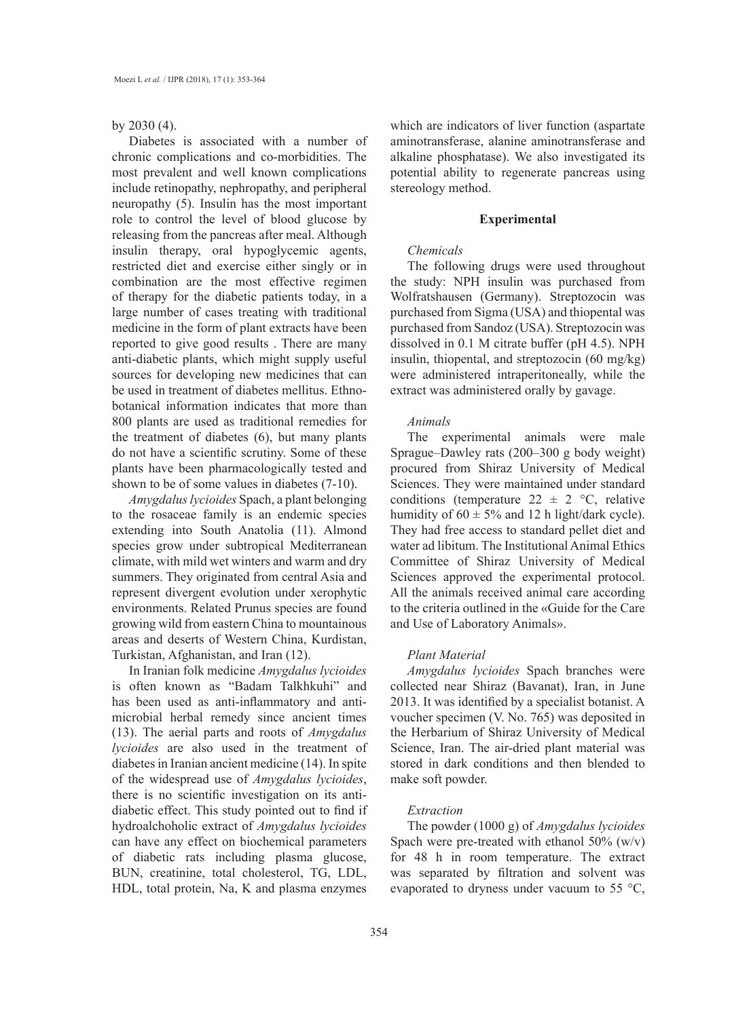# by 2030 (4).

Diabetes is associated with a number of chronic complications and co-morbidities. The most prevalent and well known complications include retinopathy, nephropathy, and peripheral neuropathy (5). Insulin has the most important role to control the level of blood glucose by releasing from the pancreas after meal. Although insulin therapy, oral hypoglycemic agents, restricted diet and exercise either singly or in combination are the most effective regimen of therapy for the diabetic patients today, in a large number of cases treating with traditional medicine in the form of plant extracts have been reported to give good results . There are many anti-diabetic plants, which might supply useful sources for developing new medicines that can be used in treatment of diabetes mellitus. Ethnobotanical information indicates that more than 800 plants are used as traditional remedies for the treatment of diabetes (6), but many plants do not have a scientific scrutiny. Some of these plants have been pharmacologically tested and shown to be of some values in diabetes (7-10).

*Amygdalus lycioides* Spach, a plant belonging to the rosaceae family is an endemic species extending into South Anatolia (11). Almond species grow under subtropical Mediterranean climate, with mild wet winters and warm and dry summers. They originated from central Asia and represent divergent evolution under xerophytic environments. Related Prunus species are found growing wild from eastern China to mountainous areas and deserts of Western China, Kurdistan, Turkistan, Afghanistan, and Iran (12).

In Iranian folk medicine *Amygdalus lycioides*  is often known as "Badam Talkhkuhi" and has been used as anti-inflammatory and antimicrobial herbal remedy since ancient times (13). The aerial parts and roots of *Amygdalus lycioides* are also used in the treatment of diabetes in Iranian ancient medicine (14). In spite of the widespread use of *Amygdalus lycioides*, there is no scientific investigation on its antidiabetic effect. This study pointed out to find if hydroalchoholic extract of *Amygdalus lycioides*  can have any effect on biochemical parameters of diabetic rats including plasma glucose, BUN, creatinine, total cholesterol, TG, LDL, HDL, total protein, Na, K and plasma enzymes

which are indicators of liver function (aspartate aminotransferase, alanine aminotransferase and alkaline phosphatase). We also investigated its potential ability to regenerate pancreas using stereology method.

## **Experimental**

#### *Chemicals*

The following drugs were used throughout the study: NPH insulin was purchased from Wolfratshausen (Germany). Streptozocin was purchased from Sigma (USA) and thiopental was purchased from Sandoz (USA). Streptozocin was dissolved in 0.1 M citrate buffer (pH 4.5). NPH insulin, thiopental, and streptozocin (60 mg/kg) were administered intraperitoneally, while the extract was administered orally by gavage.

#### *Animals*

The experimental animals were male Sprague–Dawley rats (200–300 g body weight) procured from Shiraz University of Medical Sciences. They were maintained under standard conditions (temperature  $22 \pm 2$  °C, relative humidity of  $60 \pm 5\%$  and 12 h light/dark cycle). They had free access to standard pellet diet and water ad libitum. The Institutional Animal Ethics Committee of Shiraz University of Medical Sciences approved the experimental protocol. All the animals received animal care according to the criteria outlined in the «Guide for the Care and Use of Laboratory Animals».

#### *Plant Material*

*Amygdalus lycioides* Spach branches were collected near Shiraz (Bavanat), Iran, in June 2013. It was identified by a specialist botanist. A voucher specimen (V. No. 765) was deposited in the Herbarium of Shiraz University of Medical Science, Iran. The air-dried plant material was stored in dark conditions and then blended to make soft powder.

#### *Extraction*

The powder (1000 g) of *Amygdalus lycioides*  Spach were pre-treated with ethanol  $50\%$  (w/v) for 48 h in room temperature. The extract was separated by filtration and solvent was evaporated to dryness under vacuum to 55 °C,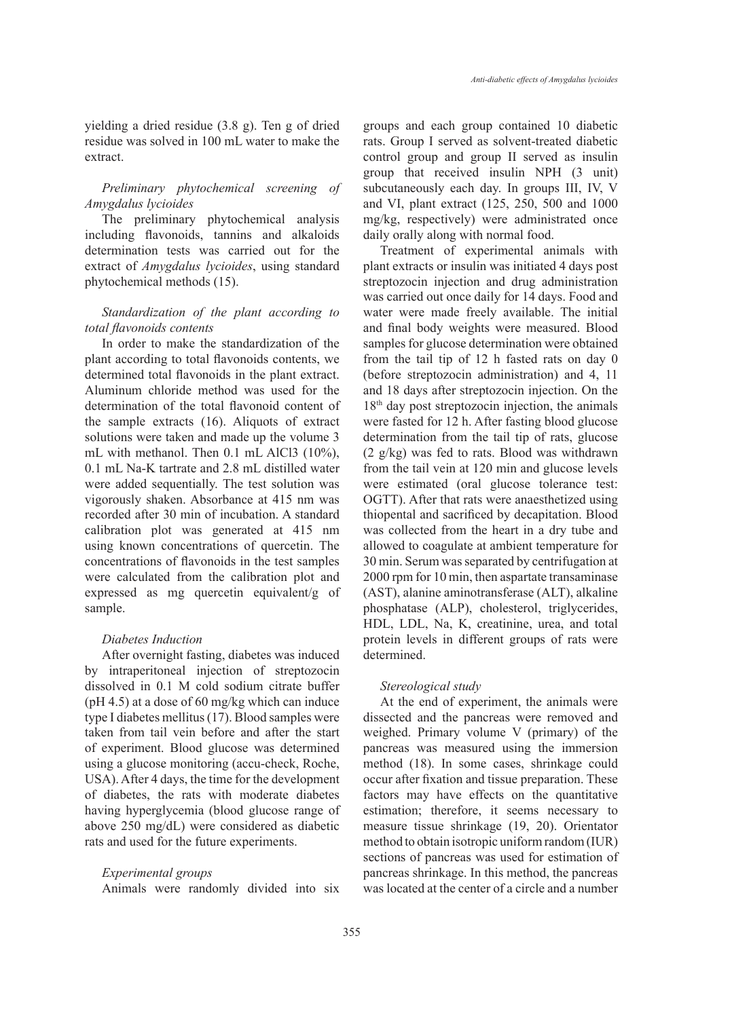yielding a dried residue (3.8 g). Ten g of dried residue was solved in 100 mL water to make the extract.

# *Preliminary phytochemical screening of Amygdalus lycioides*

The preliminary phytochemical analysis including flavonoids, tannins and alkaloids determination tests was carried out for the extract of *Amygdalus lycioides*, using standard phytochemical methods (15).

# *Standardization of the plant according to total flavonoids contents*

In order to make the standardization of the plant according to total flavonoids contents, we determined total flavonoids in the plant extract. Aluminum chloride method was used for the determination of the total flavonoid content of the sample extracts (16). Aliquots of extract solutions were taken and made up the volume 3 mL with methanol. Then 0.1 mL AlCl3 (10%), 0.1 mL Na-K tartrate and 2.8 mL distilled water were added sequentially. The test solution was vigorously shaken. Absorbance at 415 nm was recorded after 30 min of incubation. A standard calibration plot was generated at 415 nm using known concentrations of quercetin. The concentrations of flavonoids in the test samples were calculated from the calibration plot and expressed as mg quercetin equivalent/g of sample.

# *Diabetes Induction*

After overnight fasting, diabetes was induced by intraperitoneal injection of streptozocin dissolved in 0.1 M cold sodium citrate buffer (pH 4.5) at a dose of 60 mg/kg which can induce type I diabetes mellitus (17). Blood samples were taken from tail vein before and after the start of experiment. Blood glucose was determined using a glucose monitoring (accu-check, Roche, USA). After 4 days, the time for the development of diabetes, the rats with moderate diabetes having hyperglycemia (blood glucose range of above 250 mg/dL) were considered as diabetic rats and used for the future experiments.

## *Experimental groups*

Animals were randomly divided into six

groups and each group contained 10 diabetic rats. Group I served as solvent-treated diabetic control group and group II served as insulin group that received insulin NPH (3 unit) subcutaneously each day. In groups III, IV, V and VI, plant extract (125, 250, 500 and 1000 mg/kg, respectively) were administrated once daily orally along with normal food.

Treatment of experimental animals with plant extracts or insulin was initiated 4 days post streptozocin injection and drug administration was carried out once daily for 14 days. Food and water were made freely available. The initial and final body weights were measured. Blood samples for glucose determination were obtained from the tail tip of 12 h fasted rats on day 0 (before streptozocin administration) and 4, 11 and 18 days after streptozocin injection. On the  $18<sup>th</sup>$  day post streptozocin injection, the animals were fasted for 12 h. After fasting blood glucose determination from the tail tip of rats, glucose (2 g/kg) was fed to rats. Blood was withdrawn from the tail vein at 120 min and glucose levels were estimated (oral glucose tolerance test: OGTT). After that rats were anaesthetized using thiopental and sacrificed by decapitation. Blood was collected from the heart in a dry tube and allowed to coagulate at ambient temperature for 30 min. Serum was separated by centrifugation at 2000 rpm for 10 min, then aspartate transaminase (AST), alanine aminotransferase (ALT), alkaline phosphatase (ALP), cholesterol, triglycerides, HDL, LDL, Na, K, creatinine, urea, and total protein levels in different groups of rats were determined.

### *Stereological study*

At the end of experiment, the animals were dissected and the pancreas were removed and weighed. Primary volume V (primary) of the pancreas was measured using the immersion method (18). In some cases, shrinkage could occur after fixation and tissue preparation. These factors may have effects on the quantitative estimation; therefore, it seems necessary to measure tissue shrinkage (19, 20). Orientator method to obtain isotropic uniform random (IUR) sections of pancreas was used for estimation of pancreas shrinkage. In this method, the pancreas was located at the center of a circle and a number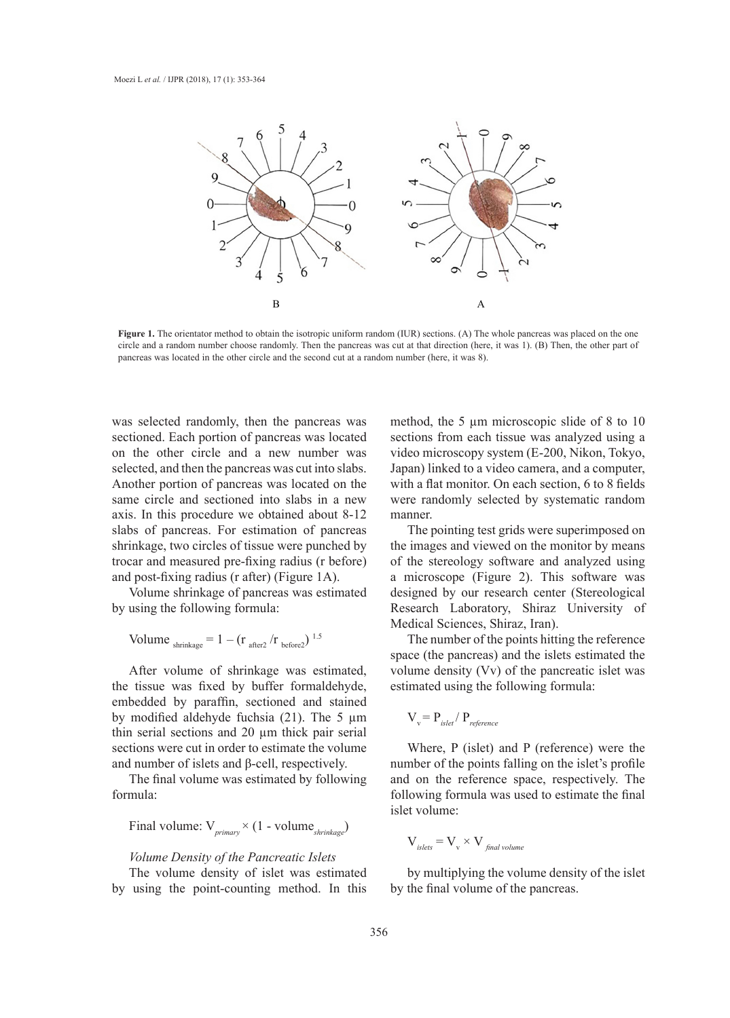

Figure 1. The orientator method to obtain the isotropic uniform random (IUR) sections. (A) The whole pancreas was placed on the one circle and a random number choose randomly. Then the pancreas was cut at that direction (here, it was 1). (B) Then, the other part of pancreas was located in the other circle and the second cut at a random number (here, it was  $8$ ).

was selected randomly, then the pancreas was was sectioned. Each portion of pancreas was located on the other circle and a new number was selected, and then the pancreas was cut into slabs. Another portion of pancreas was located on the with a flat monitor. On ea same circle and sectioned into slabs in a new axis. In this procedure we obtained about 8-12 slabs of pancreas. For estimation of pancreas shrinkage, two circles of tissue were punched by trocar and measured pre-fixing radius (r before) and post-fixing radius (r after) (Figure 1A).

Volume shrinkage of pancreas was estimated by using the following formula:

Volume <sub>shrinkage</sub> = 
$$
1 - (r_{after2} / r_{before2})^{1.5}
$$

After volume of shrinkage was estimated, the tissue was fixed by buffer formaldehyde, embedded by paraffin, sectioned and stained by modified aldehyde fuchsia (21). The 5 µm thin serial sections and 20 µm thick pair serial sections were cut in order to estimate the volume and number of islets and β-cell, respectively.

The final volume was estimated by following formula:

$$
Final volume: V_{primary} \times (1 - volume_{shrinkage})
$$

#### *Volume Density of the Pancreatic Islets*

The volume density of islet was estimated by using the point-counting method. In this method, the 5 µm microscopic slide of 8 to 10 sections from each tissue was analyzed using a video microscopy system (E-200, Nikon, Tokyo, Japan) linked to a video camera, and a computer, with a flat monitor. On each section, 6 to 8 fields were randomly selected by systematic random manner.

creas. For estimation of pancreas The pointing test grids were superimposed on the images and viewed on the monitor by means measured pre-fixing radius (r before) of the stereology software and analyzed using the 5 µm thinking radius (r before)  $x$ ing radius (r after) (Figure 1A).  $\qquad a$  microscope (Figure 2). This software was designed by our research center (Stereological Research Laboratory, Shiraz University of Medical Sciences, Shiraz, Iran).  $T$  is following  $\mathbf{r}$  in the following formula:

The number of the points hitting the reference space (the pancreas) and the islets estimated the volume density (Vv) of the pancreatic islet was estimated using the following formula:

$$
V_{v} = P_{\text{islet}} / P_{\text{reference}}
$$

Where, P (islet) and P (reference) were the number of the points falling on the islet's profile and on the reference space, respectively. The following formula was used to estimate the final islet volume:

$$
V_{\text{islets}} = V_{\text{v}} \times V_{\text{final volume}}
$$

by multiplying the volume density of the islet by the final volume of the pancreas.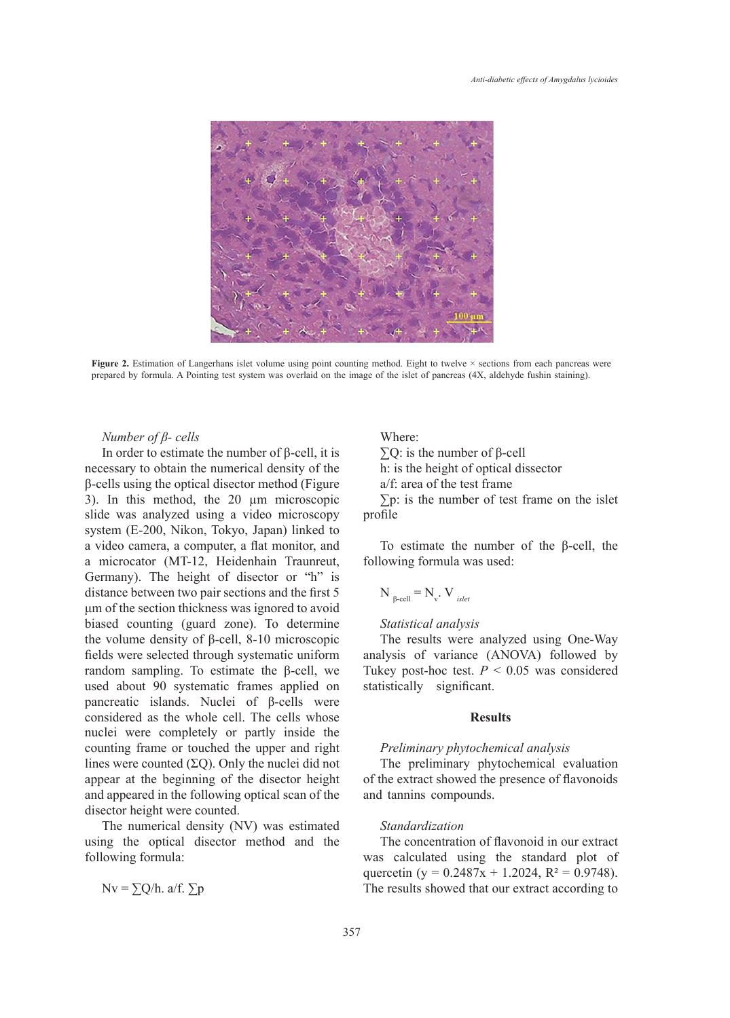

**Figure 2.** Estimation of Langerhans islet volume using point counting method. Eight to twelve × sections from each pancreas were prepared by formula. A Pointing test system was overlaid on the image of the islet of pancreas (4X, aldehyde fushin staining).

## *Number of β- cells*

In order to estimate the number of  $β$ -cell, it is necessary to obtain the numerical density of the β-cells using the optical disector method (Figure 3). In this method, the 20 µm microscopic slide was analyzed using a video microscopy system (E-200, Nikon, Tokyo, Japan) linked to a video camera, a computer, a flat monitor, and a microcator (MT-12, Heidenhain Traunreut, Germany). The height of disector or "h" is distance between two pair sections and the first 5 μm of the section thickness was ignored to avoid biased counting (guard zone). To determine the volume density of β-cell, 8-10 microscopic fields were selected through systematic uniform random sampling. To estimate the β-cell, we used about 90 systematic frames applied on pancreatic islands. Nuclei of β-cells were considered as the whole cell. The cells whose nuclei were completely or partly inside the counting frame or touched the upper and right lines were counted  $(\Sigma Q)$ . Only the nuclei did not appear at the beginning of the disector height and appeared in the following optical scan of the disector height were counted.

The numerical density (NV) was estimated using the optical disector method and the following formula:

 $Nv = \sum Q/h$ . a/f.  $\Sigma p$ 

Where:

 $\Sigma$ Q: is the number of β-cell h: is the height of optical dissector a/f: area of the test frame  $\Sigma$ p: is the number of test frame on the islet profile

To estimate the number of the β-cell, the following formula was used:

$$
N_{\beta\text{-cell}} = N_{v} \cdot V_{\text{islet}}
$$

## *Statistical analysis*

The results were analyzed using One-Way analysis of variance (ANOVA) followed by Tukey post-hoc test. *P* < 0.05 was considered statistically significant.

## **Results**

#### *Preliminary phytochemical analysis*

The preliminary phytochemical evaluation of the extract showed the presence of flavonoids and tannins compounds.

## *Standardization*

The concentration of flavonoid in our extract was calculated using the standard plot of quercetin (y =  $0.2487x + 1.2024$ , R<sup>2</sup> = 0.9748). The results showed that our extract according to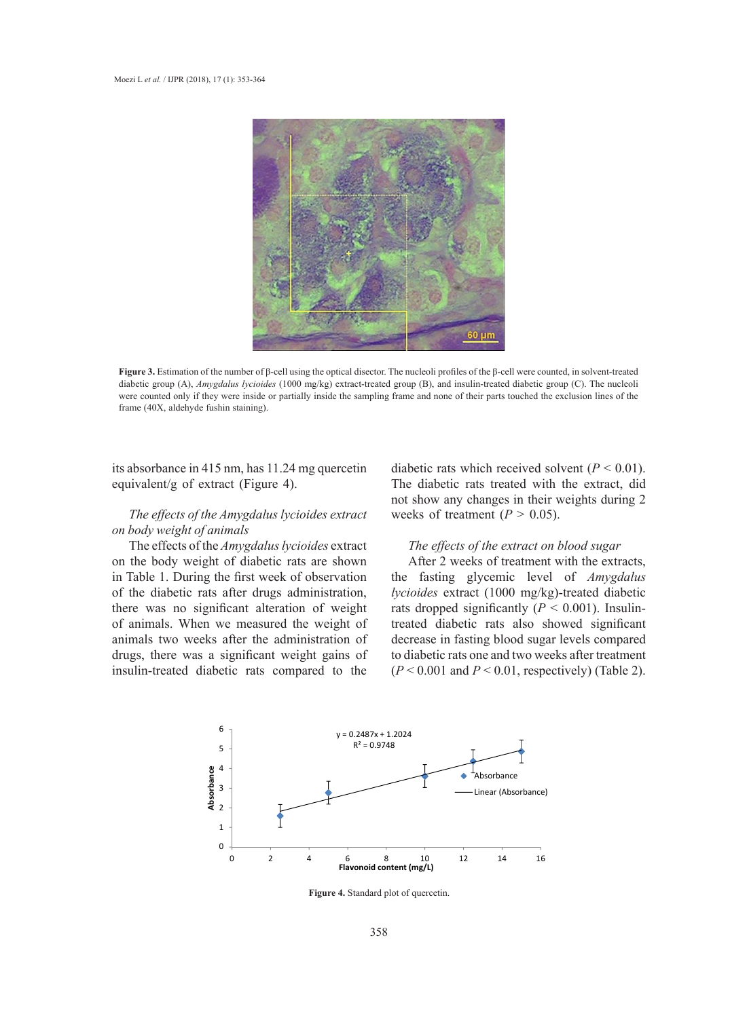

**Figure 3.** Estimation of the number of β-cell using the optical disector. The nucleoli profiles of the β-cell were counted, in solvent-treated diabetic group (A), Amygdalus lycioides (1000 mg/kg) extract-treated group (B), and insulin-treated diabetic group (C). The nucleoli were counted only if they were inside or partially inside the sampling frame and none of their parts touched the exclusion lines of the  $f_{\text{true}}(40\text{V}$  aldehyde fushin staining) frame (40X, aldehyde fushin staining).

its absorbance in 415 nm, has 11.24 mg quercetin equivalent/g of extract (Figure 4).

# **The effects of the Amygdalus lycioides extract** *on body weight of animals* evaluation of the extract showed the prediction of the prediction of the prediction of avonomical evaluation of the prediction of avonomical evaluation of the prediction of the prediction of the

The effects of the *Amygdalus lycioides* extract on the body weight of diabetic rats are shown in Table 1. During the first week of observation of the diabetic rats after drugs administration, there was no significant alteration of weight *Standardization*  of animals. When we measured the weight of animals two weeks after the administration of drugs, there was a significant weight gains of insulin-treated diabetic rats compared to the  $(P < 0.001$  and  $P < 0.01$ , res

diabetic rats which received solvent  $(P < 0.01)$ . The diabetic rats treated with the extract, did The diabetic rats treated with the extract, did not show any changes in their weights during 2 weeks of treatment  $(P > 0.05)$ .

## *The effects of the extract on blood sugar*

After 2 weeks of treatment with the extracts, the fasting glycemic level of *Amygdalus lycioides* extract (1000 mg/kg)-treated diabetic rats dropped significantly  $(P < 0.001)$ . Insulin-When we measured the weight of treated diabetic rats also showed significant decrease in fasting blood sugar levels compared to diabetic rats one and two weeks after treatment that was a significant weight gains of to diabetic rats one and two weeks after treatment (*P* < 0.001 and *P* < 0.01, respectively) (Table 2).



**Figure 4.** Standard plot of quercetin. **Figure 4.** Standard plot of quercetin.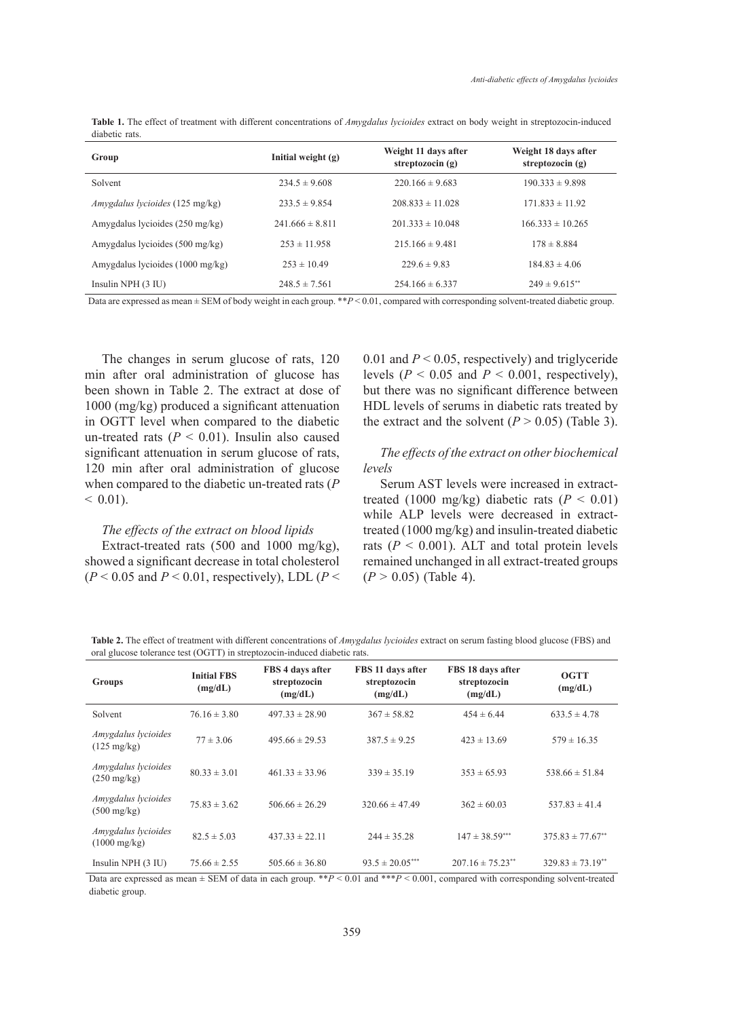|                |  | Table 1. The effect of treatment with different concentrations of <i>Amygdalus lycioides</i> extract on body weight in streptozocin-induced |  |  |  |  |
|----------------|--|---------------------------------------------------------------------------------------------------------------------------------------------|--|--|--|--|
| diabetic rats. |  |                                                                                                                                             |  |  |  |  |

| Group                                  | Initial weight $(g)$ | Weight 11 days after<br>streptozocin $(g)$ | Weight 18 days after<br>streptozocin $(g)$ |
|----------------------------------------|----------------------|--------------------------------------------|--------------------------------------------|
| Solvent                                | $234.5 \pm 9.608$    | $220.166 \pm 9.683$                        | $190.333 \pm 9.898$                        |
| <i>Amygdalus lycioides</i> (125 mg/kg) | $233.5 \pm 9.854$    | $208.833 \pm 11.028$                       | $171.833 \pm 11.92$                        |
| Amygdalus lycioides (250 mg/kg)        | $241.666 \pm 8.811$  | $201.333 \pm 10.048$                       | $166.333 \pm 10.265$                       |
| Amygdalus lycioides (500 mg/kg)        | $253 \pm 11.958$     | $215.166 \pm 9.481$                        | $178 \pm 8.884$                            |
| Amygdalus lycioides (1000 mg/kg)       | $253 \pm 10.49$      | $229.6 \pm 9.83$                           | $184.83 \pm 4.06$                          |
| Insulin NPH $(3 \text{ IU})$           | $248.5 \pm 7.561$    | $254.166 \pm 6.337$                        | $249 \pm 9.615$ **                         |

Data are expressed as mean  $\pm$  SEM of body weight in each group. \*\**P* < 0.01, compared with corresponding solvent-treated diabetic group.

The changes in serum glucose of rats, 120 min after oral administration of glucose has been shown in Table 2. The extract at dose of 1000 (mg/kg) produced a significant attenuation in OGTT level when compared to the diabetic un-treated rats  $(P < 0.01)$ . Insulin also caused significant attenuation in serum glucose of rats, 120 min after oral administration of glucose when compared to the diabetic un-treated rats (*P*   $< 0.01$ ).

# *The effects of the extract on blood lipids*

Extract-treated rats (500 and 1000 mg/kg), showed a significant decrease in total cholesterol  $(P < 0.05$  and  $P < 0.01$ , respectively), LDL  $(P <$  0.01 and *P* < 0.05, respectively) and triglyceride levels ( $P < 0.05$  and  $P < 0.001$ , respectively), but there was no significant difference between HDL levels of serums in diabetic rats treated by the extract and the solvent  $(P > 0.05)$  (Table 3).

# *The effects of the extract on other biochemical levels*

Serum AST levels were increased in extracttreated (1000 mg/kg) diabetic rats  $(P < 0.01)$ while ALP levels were decreased in extracttreated (1000 mg/kg) and insulin-treated diabetic rats  $(P < 0.001)$ . ALT and total protein levels remained unchanged in all extract-treated groups  $(P > 0.05)$  (Table 4).

**Table 2.** The effect of treatment with different concentrations of *Amygdalus lycioides* extract on serum fasting blood glucose (FBS) and oral glucose tolerance test (OGTT) in streptozocin-induced diabetic rats.

| <b>Groups</b>                                 | <b>Initial FBS</b><br>(mg/dL) | FBS 4 days after<br>streptozocin<br>(mg/dL) | FBS 11 days after<br>streptozocin<br>(mg/dL) | FBS 18 days after<br>streptozocin<br>(mg/dL) | <b>OGTT</b><br>(mg/dL)           |  |
|-----------------------------------------------|-------------------------------|---------------------------------------------|----------------------------------------------|----------------------------------------------|----------------------------------|--|
| Solvent                                       | $76.16 \pm 3.80$              | $497.33 \pm 28.90$                          | $367 \pm 58.82$                              | $454 \pm 6.44$                               | $633.5 \pm 4.78$                 |  |
| Amygdalus lycioides<br>$(125 \text{ mg/kg})$  | $77 \pm 3.06$                 | $495.66 \pm 29.53$                          | $387.5 \pm 9.25$                             | $423 \pm 13.69$                              | $579 \pm 16.35$                  |  |
| Amygdalus lycioides<br>$(250 \text{ mg/kg})$  | $80.33 \pm 3.01$              | $461.33 \pm 33.96$                          | $339 \pm 35.19$                              | $353 \pm 65.93$                              | $538.66 \pm 51.84$               |  |
| Amygdalus lycioides<br>$(500 \text{ mg/kg})$  | $75.83 \pm 3.62$              | $506.66 \pm 26.29$                          | $320.66 \pm 47.49$                           | $362 \pm 60.03$                              | $537.83 \pm 41.4$                |  |
| Amygdalus lycioides<br>$(1000 \text{ mg/kg})$ | $82.5 \pm 5.03$               | $437.33 \pm 22.11$                          | $244 \pm 35.28$                              | $147 \pm 38.59***$                           | $375.83 \pm 77.67^{**}$          |  |
| Insulin NPH (3 IU)                            | $75.66 \pm 2.55$              | $505.66 \pm 36.80$                          | $93.5 \pm 20.05***$<br>.                     | $207.16 \pm 75.23$ **                        | $329.83 \pm 73.19$ <sup>**</sup> |  |

Data are expressed as mean  $\pm$  SEM of data in each group. \*\* $P < 0.01$  and \*\* $P < 0.001$ , compared with corresponding solvent-treated diabetic group.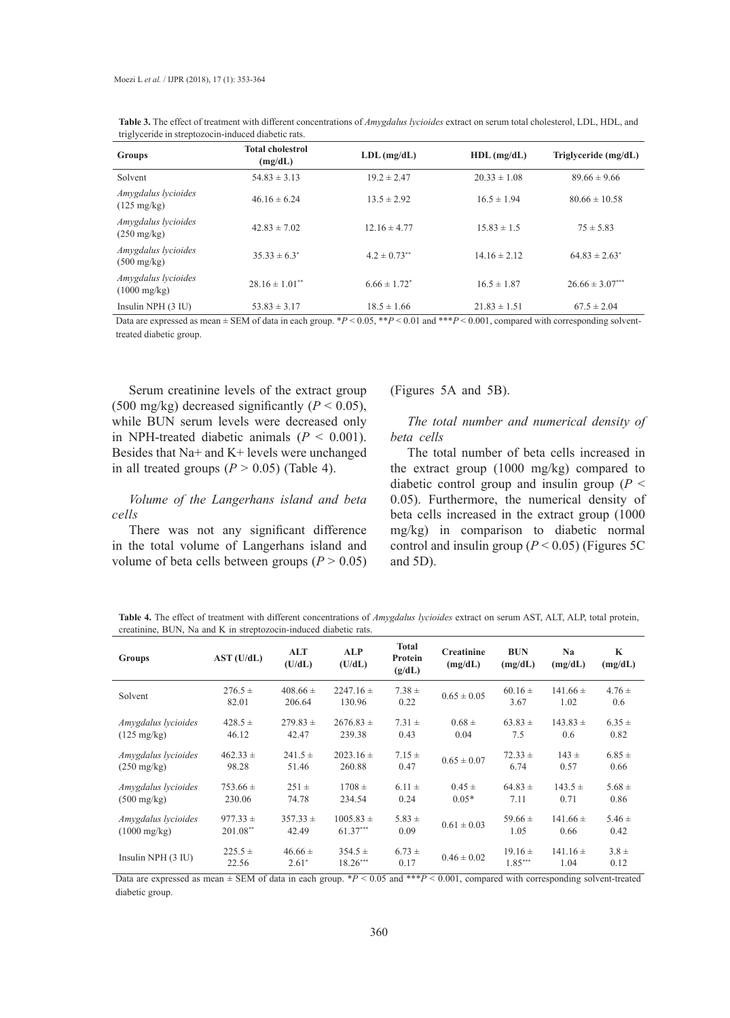| Groups                                        | <b>Total cholestrol</b><br>(mg/dL) | $LDL$ (mg/dL)     | $HDL$ (mg/dL)    | Triglyceride (mg/dL) |
|-----------------------------------------------|------------------------------------|-------------------|------------------|----------------------|
| Solvent                                       | $54.83 \pm 3.13$                   | $19.2 \pm 2.47$   | $20.33 \pm 1.08$ | $89.66 \pm 9.66$     |
| Amygdalus lycioides<br>$(125 \text{ mg/kg})$  | $46.16 \pm 6.24$                   | $13.5 \pm 2.92$   | $16.5 \pm 1.94$  | $80.66 \pm 10.58$    |
| Amygdalus lycioides<br>$(250 \text{ mg/kg})$  | $42.83 \pm 7.02$                   | $12.16 \pm 4.77$  | $15.83 \pm 1.5$  | $75 \pm 5.83$        |
| Amygdalus lycioides<br>$(500 \text{ mg/kg})$  | $35.33 \pm 6.3^*$                  | $4.2 \pm 0.73$ ** | $14.16 \pm 2.12$ | $64.83 \pm 2.63^*$   |
| Amygdalus lycioides<br>$(1000 \text{ mg/kg})$ | $28.16 \pm 1.01^{**}$              | $6.66 \pm 1.72^*$ | $16.5 \pm 1.87$  | $26.66 \pm 3.07***$  |
| Insulin NPH $(3 \text{ IU})$                  | $53.83 \pm 3.17$                   | $18.5 \pm 1.66$   | $21.83 \pm 1.51$ | $67.5 \pm 2.04$      |

**Table 3.** The effect of treatment with different concentrations of *Amygdalus lycioides* extract on serum total cholesterol, LDL, HDL, and triglyceride in streptozocin-induced diabetic rats.

Data are expressed as mean ± SEM of data in each group. \**P* < 0.05, \*\**P* < 0.01 and \*\*\**P* < 0.001, compared with corresponding solventtreated diabetic group.

Serum creatinine levels of the extract group (500 mg/kg) decreased significantly  $(P < 0.05)$ , while BUN serum levels were decreased only in NPH-treated diabetic animals  $(P < 0.001)$ . Besides that Na+ and K+ levels were unchanged in all treated groups  $(P > 0.05)$  (Table 4).

# *Volume of the Langerhans island and beta cells*

There was not any significant difference in the total volume of Langerhans island and volume of beta cells between groups  $(P > 0.05)$  (Figures 5A and 5B).

# *The total number and numerical density of beta cells*

The total number of beta cells increased in the extract group (1000 mg/kg) compared to diabetic control group and insulin group (*P* < 0.05). Furthermore, the numerical density of beta cells increased in the extract group (1000 mg/kg) in comparison to diabetic normal control and insulin group  $(P < 0.05)$  (Figures 5C) and 5D).

**Table 4.** The effect of treatment with different concentrations of *Amygdalus lycioides* extract on serum AST, ALT, ALP, total protein, creatinine, BUN, Na and K in streptozocin-induced diabetic rats.

| <b>Groups</b>                | AST (U/dL)           | ALT<br>(U/dL)          | <b>ALP</b><br>(U/dL)      | <b>Total</b><br>Protein<br>(g/dL) | <b>Creatinine</b><br>(mg/dL) | <b>BUN</b><br>(mg/dL)    | N <sub>a</sub><br>(mg/dL) | K<br>(mg/dL)      |
|------------------------------|----------------------|------------------------|---------------------------|-----------------------------------|------------------------------|--------------------------|---------------------------|-------------------|
| Solvent                      | $276.5 \pm$<br>82.01 | $408.66 \pm$<br>206.64 | $2247.16 \pm$<br>130.96   | $7.38 \pm$<br>0.22                | $0.65 \pm 0.05$              | $60.16 \pm$<br>3.67      | $141.66 \pm$<br>1.02      | $4.76 \pm$<br>0.6 |
| Amygdalus lycioides          | $428.5 \pm$          | $279.83 \pm$           | $2676.83 \pm$             | $7.31 \pm$                        | $0.68 \pm$                   | $63.83 \pm$              | $143.83 \pm$              | $6.35 \pm$        |
| $(125 \text{ mg/kg})$        | 46.12                | 42.47                  | 239.38                    | 0.43                              | 0.04                         | 7.5                      | 0.6                       | 0.82              |
| Amygdalus lycioides          | $462.33 \pm$         | $241.5 +$              | $2023.16 \pm$             | $7.15 \pm$                        | $0.65 \pm 0.07$              | $72.33 \pm$              | $143 \pm$                 | $6.85 \pm$        |
| $(250 \text{ mg/kg})$        | 98.28                | 51.46                  | 260.88                    | 0.47                              |                              | 6.74                     | 0.57                      | 0.66              |
| Amygdalus lycioides          | $753.66 \pm$         | $251 \pm$              | $1708 \pm$                | $6.11 \pm$                        | $0.45 \pm$                   | $64.83 \pm$              | $143.5 +$                 | $5.68 \pm$        |
| $(500 \text{ mg/kg})$        | 230.06               | 74.78                  | 234.54                    | 0.24                              | $0.05*$                      | 7.11                     | 0.71                      | 0.86              |
| Amygdalus lycioides          | $977.33 \pm$         | $357.33 \pm$           | $1005.83 \pm$             | $5.83 \pm$                        | $0.61 \pm 0.03$              | $59.66 \pm$              | $141.66 \pm$              | $5.46 \pm$        |
| $(1000 \text{ mg/kg})$       | $201.08**$           | 42.49                  | $61.37***$                | 0.09                              |                              | 1.05                     | 0.66                      | 0.42              |
| Insulin NPH $(3 \text{ IU})$ | $225.5 \pm$<br>22.56 | $46.66 \pm$<br>$2.61*$ | $354.5 \pm$<br>$18.26***$ | $6.73 \pm$<br>0.17                | $0.46 \pm 0.02$              | $19.16 \pm$<br>$1.85***$ | $141.16 \pm$<br>1.04      | $3.8 \pm$<br>0.12 |

Data are expressed as mean ± SEM of data in each group. \**P* < 0.05 and \*\*\**P* < 0.001, compared with corresponding solvent-treated diabetic group.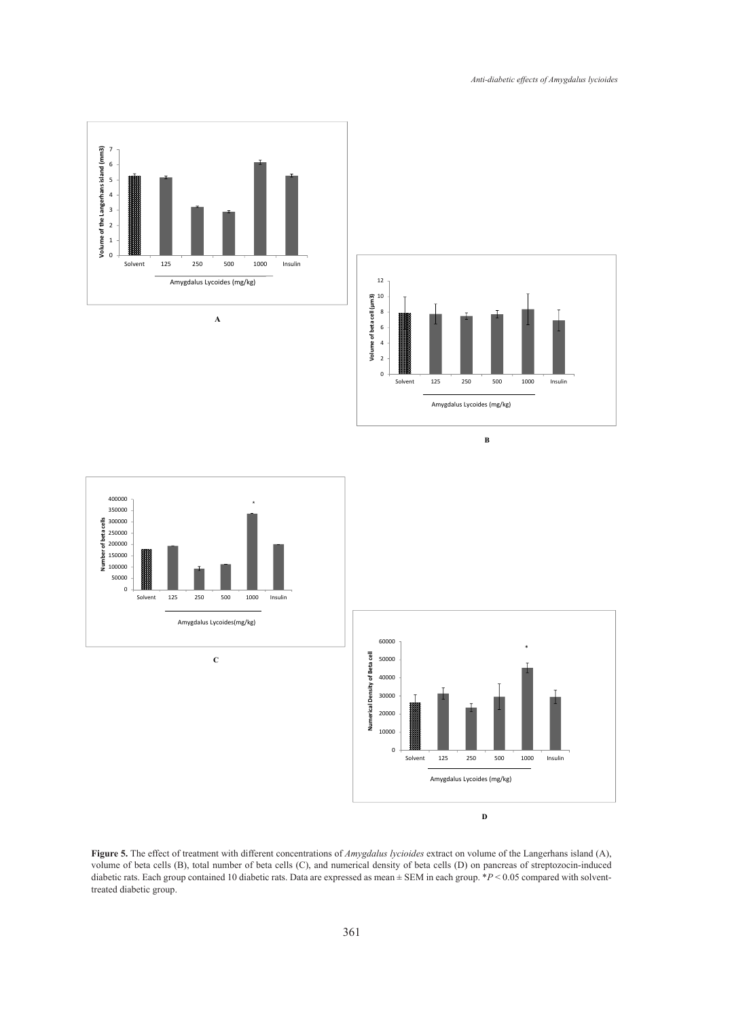



**B** 





Figure 5. The effect of treatment with different concentrations of *Amygdalus lycioides* extract on volume of the Langerhans island (A),  $t$  and  $\alpha$  ish of  $\alpha$  cells  $(D)$  on pancreas of sucprozocin-matrice volume of beta cells (B), total number of beta cells (C), and numerical density of beta cells (D) on pancreas of streptozocin-induced diabetic rats. Each group contained 10 diabetic rats. Data are expressed as mean ± SEM in each group. \**P* < 0.05 compared with solventtreated diabetic group.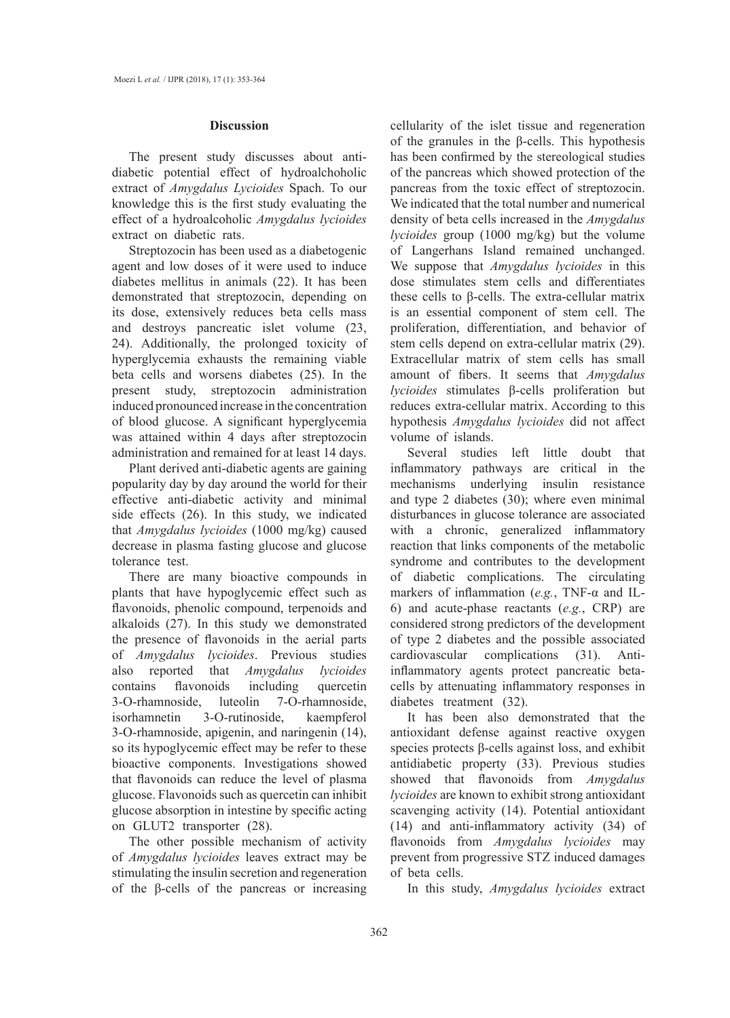#### **Discussion**

The present study discusses about antidiabetic potential effect of hydroalchoholic extract of *Amygdalus Lycioides* Spach. To our knowledge this is the first study evaluating the effect of a hydroalcoholic *Amygdalus lycioides* extract on diabetic rats.

Streptozocin has been used as a diabetogenic agent and low doses of it were used to induce diabetes mellitus in animals (22). It has been demonstrated that streptozocin, depending on its dose, extensively reduces beta cells mass and destroys pancreatic islet volume (23, 24). Additionally, the prolonged toxicity of hyperglycemia exhausts the remaining viable beta cells and worsens diabetes (25). In the present study, streptozocin administration induced pronounced increase in the concentration of blood glucose. A significant hyperglycemia was attained within 4 days after streptozocin administration and remained for at least 14 days.

Plant derived anti-diabetic agents are gaining popularity day by day around the world for their effective anti-diabetic activity and minimal side effects (26). In this study, we indicated that *Amygdalus lycioides* (1000 mg/kg) caused decrease in plasma fasting glucose and glucose tolerance test.

There are many bioactive compounds in plants that have hypoglycemic effect such as flavonoids, phenolic compound, terpenoids and alkaloids (27). In this study we demonstrated the presence of flavonoids in the aerial parts of *Amygdalus lycioides*. Previous studies also reported that *Amygdalus lycioides*  contains flavonoids including quercetin 3-O-rhamnoside, luteolin 7-O-rhamnoside, isorhamnetin 3-O-rutinoside, kaempferol 3-O-rhamnoside, apigenin, and naringenin (14), so its hypoglycemic effect may be refer to these bioactive components. Investigations showed that flavonoids can reduce the level of plasma glucose. Flavonoids such as quercetin can inhibit glucose absorption in intestine by specific acting on GLUT2 transporter (28).

The other possible mechanism of activity of *Amygdalus lycioides* leaves extract may be stimulating the insulin secretion and regeneration of the β-cells of the pancreas or increasing cellularity of the islet tissue and regeneration of the granules in the β-cells. This hypothesis has been confirmed by the stereological studies of the pancreas which showed protection of the pancreas from the toxic effect of streptozocin. We indicated that the total number and numerical density of beta cells increased in the *Amygdalus lycioides* group (1000 mg/kg) but the volume of Langerhans Island remained unchanged. We suppose that *Amygdalus lycioides* in this dose stimulates stem cells and differentiates these cells to β-cells. The extra-cellular matrix is an essential component of stem cell. The proliferation, differentiation, and behavior of stem cells depend on extra-cellular matrix (29). Extracellular matrix of stem cells has small amount of fibers. It seems that *Amygdalus lycioides* stimulates β-cells proliferation but reduces extra-cellular matrix. According to this hypothesis *Amygdalus lycioides* did not affect volume of islands.

Several studies left little doubt that inflammatory pathways are critical in the mechanisms underlying insulin resistance and type 2 diabetes (30); where even minimal disturbances in glucose tolerance are associated with a chronic, generalized inflammatory reaction that links components of the metabolic syndrome and contributes to the development of diabetic complications. The circulating markers of inflammation (*e.g.*, TNF-α and IL-6) and acute-phase reactants (*e.g.*, CRP) are considered strong predictors of the development of type 2 diabetes and the possible associated cardiovascular complications (31). Antiinflammatory agents protect pancreatic betacells by attenuating inflammatory responses in diabetes treatment (32).

It has been also demonstrated that the antioxidant defense against reactive oxygen species protects β-cells against loss, and exhibit antidiabetic property (33). Previous studies showed that flavonoids from *Amygdalus lycioides* are known to exhibit strong antioxidant scavenging activity (14). Potential antioxidant (14) and anti-inflammatory activity (34) of flavonoids from *Amygdalus lycioides* may prevent from progressive STZ induced damages of beta cells.

In this study, *Amygdalus lycioides* extract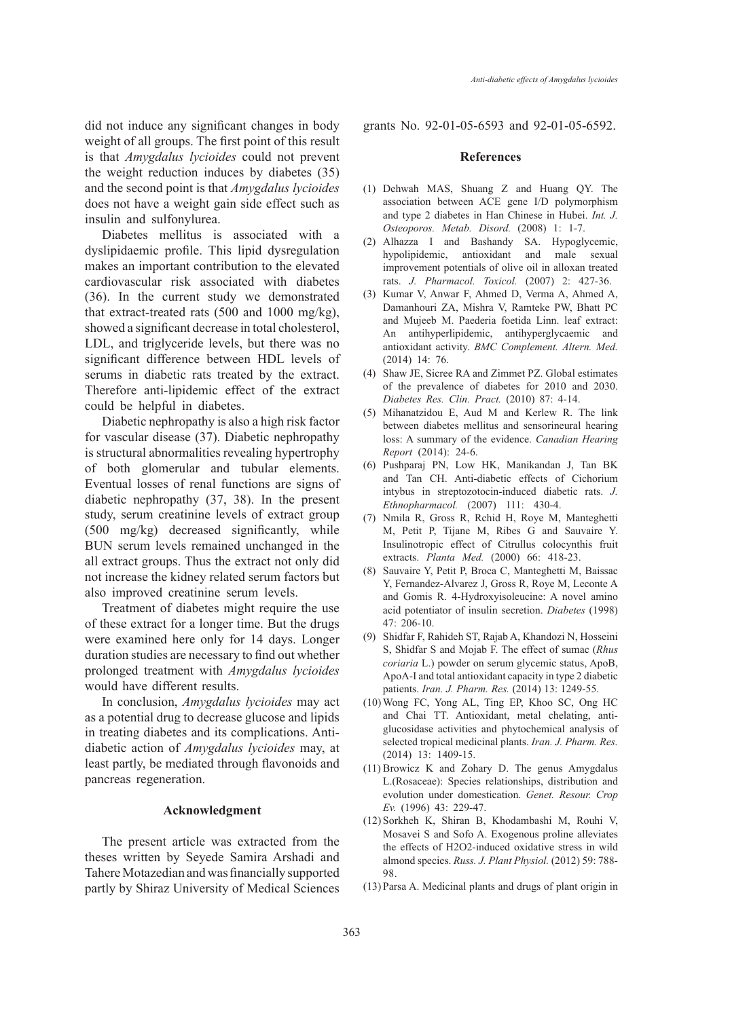did not induce any significant changes in body weight of all groups. The first point of this result is that *Amygdalus lycioides* could not prevent the weight reduction induces by diabetes (35) and the second point is that *Amygdalus lycioides* does not have a weight gain side effect such as insulin and sulfonylurea.

Diabetes mellitus is associated with a dyslipidaemic profile. This lipid dysregulation makes an important contribution to the elevated cardiovascular risk associated with diabetes (36). In the current study we demonstrated that extract-treated rats (500 and 1000 mg/kg), showed a significant decrease in total cholesterol, LDL, and triglyceride levels, but there was no significant difference between HDL levels of serums in diabetic rats treated by the extract. Therefore anti-lipidemic effect of the extract could be helpful in diabetes.

Diabetic nephropathy is also a high risk factor for vascular disease (37). Diabetic nephropathy is structural abnormalities revealing hypertrophy of both glomerular and tubular elements. Eventual losses of renal functions are signs of diabetic nephropathy (37, 38). In the present study, serum creatinine levels of extract group (500 mg/kg) decreased significantly, while BUN serum levels remained unchanged in the all extract groups. Thus the extract not only did not increase the kidney related serum factors but also improved creatinine serum levels.

Treatment of diabetes might require the use of these extract for a longer time. But the drugs were examined here only for 14 days. Longer duration studies are necessary to find out whether prolonged treatment with *Amygdalus lycioides* would have different results.

In conclusion, *Amygdalus lycioides* may act as a potential drug to decrease glucose and lipids in treating diabetes and its complications. Antidiabetic action of *Amygdalus lycioides* may, at least partly, be mediated through flavonoids and pancreas regeneration.

## **Acknowledgment**

The present article was extracted from the theses written by Seyede Samira Arshadi and Tahere Motazedian and was financially supported partly by Shiraz University of Medical Sciences grants No. 92-01-05-6593 and 92-01-05-6592.

#### **References**

- Dehwah MAS, Shuang Z and Huang QY. The (1) association between ACE gene I/D polymorphism and type 2 diabetes in Han Chinese in Hubei. *Int. J. Osteoporos. Metab. Disord.* (2008) 1: 1-7.
- Alhazza I and Bashandy SA. Hypoglycemic, (2) hypolipidemic, antioxidant and male sexual improvement potentials of olive oil in alloxan treated rats. *J. Pharmacol. Toxicol.* (2007) 2: 427-36.
- (3) Kumar V, Anwar F, Ahmed D, Verma A, Ahmed A, Damanhouri ZA, Mishra V, Ramteke PW, Bhatt PC and Mujeeb M. Paederia foetida Linn. leaf extract: An antihyperlipidemic, antihyperglycaemic and antioxidant activity. *BMC Complement. Altern. Med.* (2014) 14: 76.
- Shaw JE, Sicree RA and Zimmet PZ. Global estimates (4) of the prevalence of diabetes for 2010 and 2030. *Diabetes Res. Clin. Pract.* (2010) 87: 4-14.
- $(5)$  Mihanatzidou E, Aud M and Kerlew R. The link between diabetes mellitus and sensorineural hearing loss: A summary of the evidence. *Canadian Hearing Report* (2014): 24-6.
- Pushparaj PN, Low HK, Manikandan J, Tan BK (6) and Tan CH. Anti-diabetic effects of Cichorium intybus in streptozotocin-induced diabetic rats. *J. Ethnopharmacol.* (2007) 111: 430-4.
- (7) Nmila R, Gross R, Rchid H, Roye M, Manteghetti M, Petit P, Tijane M, Ribes G and Sauvaire Y. Insulinotropic effect of Citrullus colocynthis fruit extracts. *Planta Med.* (2000) 66: 418-23.
- Sauvaire Y, Petit P, Broca C, Manteghetti M, Baissac (8) Y, Fernandez-Alvarez J, Gross R, Roye M, Leconte A and Gomis R. 4-Hydroxyisoleucine: A novel amino acid potentiator of insulin secretion. *Diabetes* (1998) 47: 206-10.
- (9) Shidfar F, Rahideh ST, Rajab A, Khandozi N, Hosseini S, Shidfar S and Mojab F. The effect of sumac (*Rhus coriaria* L.) powder on serum glycemic status, ApoB, ApoA-I and total antioxidant capacity in type 2 diabetic patients. *Iran. J. Pharm. Res.* (2014) 13: 1249-55.
- Wong FC, Yong AL, Ting EP, Khoo SC, Ong HC (10) and Chai TT. Antioxidant, metal chelating, antiglucosidase activities and phytochemical analysis of selected tropical medicinal plants. *Iran. J. Pharm. Res.* (2014) 13: 1409-15.
- $(11)$  Browicz K and Zohary D. The genus Amygdalus L.(Rosaceae): Species relationships, distribution and evolution under domestication. *Genet. Resour. Crop Ev.* (1996) 43: 229-47.
- (12) Sorkheh K, Shiran B, Khodambashi M, Rouhi V, Mosavei S and Sofo A. Exogenous proline alleviates the effects of H2O2-induced oxidative stress in wild almond species. *Russ. J. Plant Physiol.* (2012) 59: 788- 98.
- $(13)$  Parsa A. Medicinal plants and drugs of plant origin in